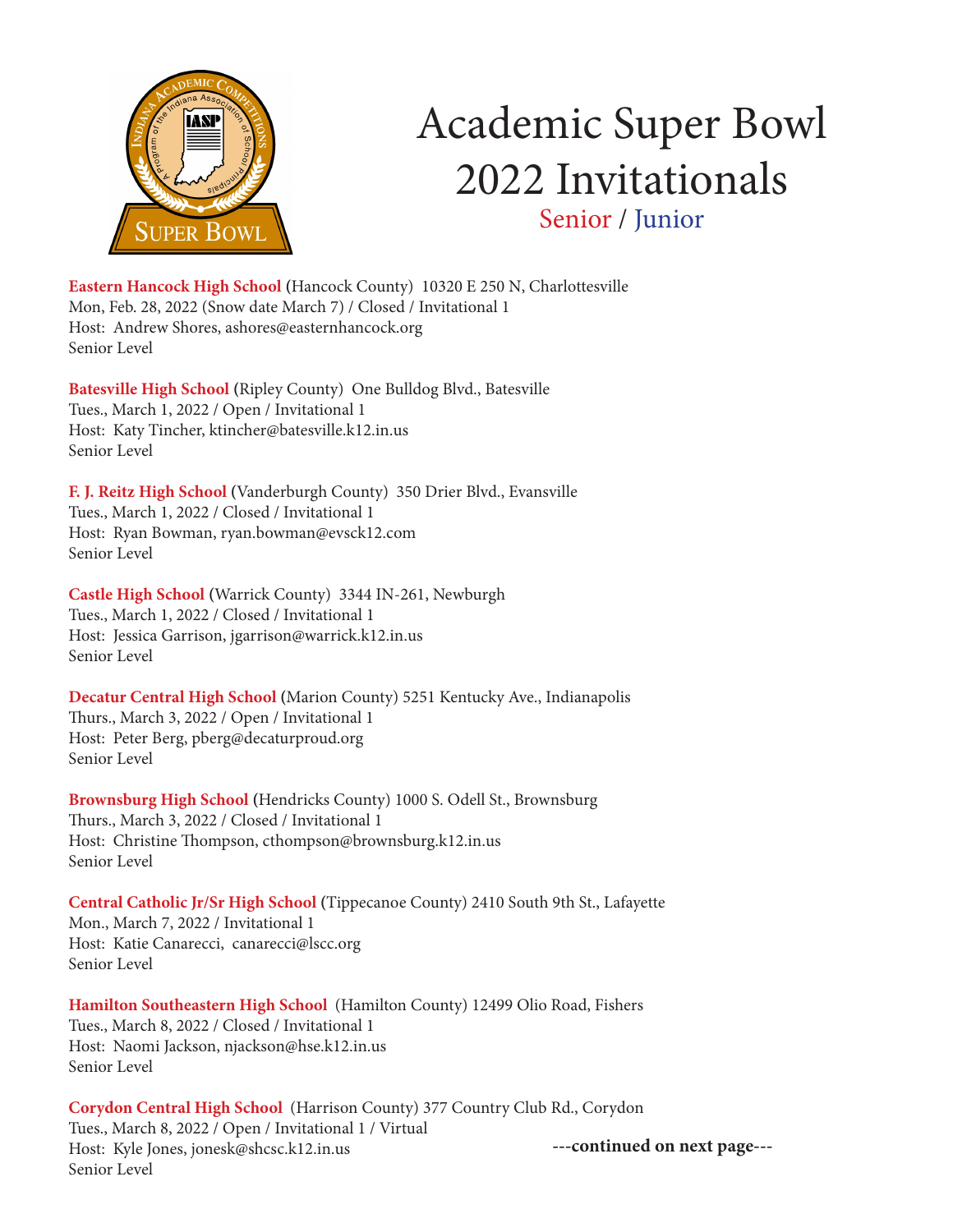

# Academic Super Bowl 2022 Invitationals Senior / Junior

**Eastern Hancock High School (**Hancock County) 10320 E 250 N, Charlottesville Mon, Feb. 28, 2022 (Snow date March 7) / Closed / Invitational 1 Host: Andrew Shores, ashores@easternhancock.org Senior Level

**Batesville High School (**Ripley County) One Bulldog Blvd., Batesville Tues., March 1, 2022 / Open / Invitational 1 Host: Katy Tincher, ktincher@batesville.k12.in.us Senior Level

**F. J. Reitz High School (**Vanderburgh County) 350 Drier Blvd., Evansville Tues., March 1, 2022 / Closed / Invitational 1 Host: Ryan Bowman, ryan.bowman@evsck12.com Senior Level

**Castle High School (**Warrick County) 3344 IN-261, Newburgh Tues., March 1, 2022 / Closed / Invitational 1 Host: Jessica Garrison, jgarrison@warrick.k12.in.us Senior Level

**Decatur Central High School (**Marion County) 5251 Kentucky Ave., Indianapolis Thurs., March 3, 2022 / Open / Invitational 1 Host: Peter Berg, pberg@decaturproud.org Senior Level

**Brownsburg High School (**Hendricks County) 1000 S. Odell St., Brownsburg Thurs., March 3, 2022 / Closed / Invitational 1 Host: Christine Thompson, cthompson@brownsburg.k12.in.us Senior Level

**Central Catholic Jr/Sr High School (**Tippecanoe County) 2410 South 9th St., Lafayette Mon., March 7, 2022 / Invitational 1 Host: Katie Canarecci, canarecci@lscc.org Senior Level

**Hamilton Southeastern High School** (Hamilton County) 12499 Olio Road, Fishers Tues., March 8, 2022 / Closed / Invitational 1 Host: Naomi Jackson, njackson@hse.k12.in.us Senior Level

**Corydon Central High School** (Harrison County) 377 Country Club Rd., Corydon Tues., March 8, 2022 / Open / Invitational 1 / Virtual Host: Kyle Jones, jonesk@shcsc.k12.in.us Senior Level

**---continued on next page---**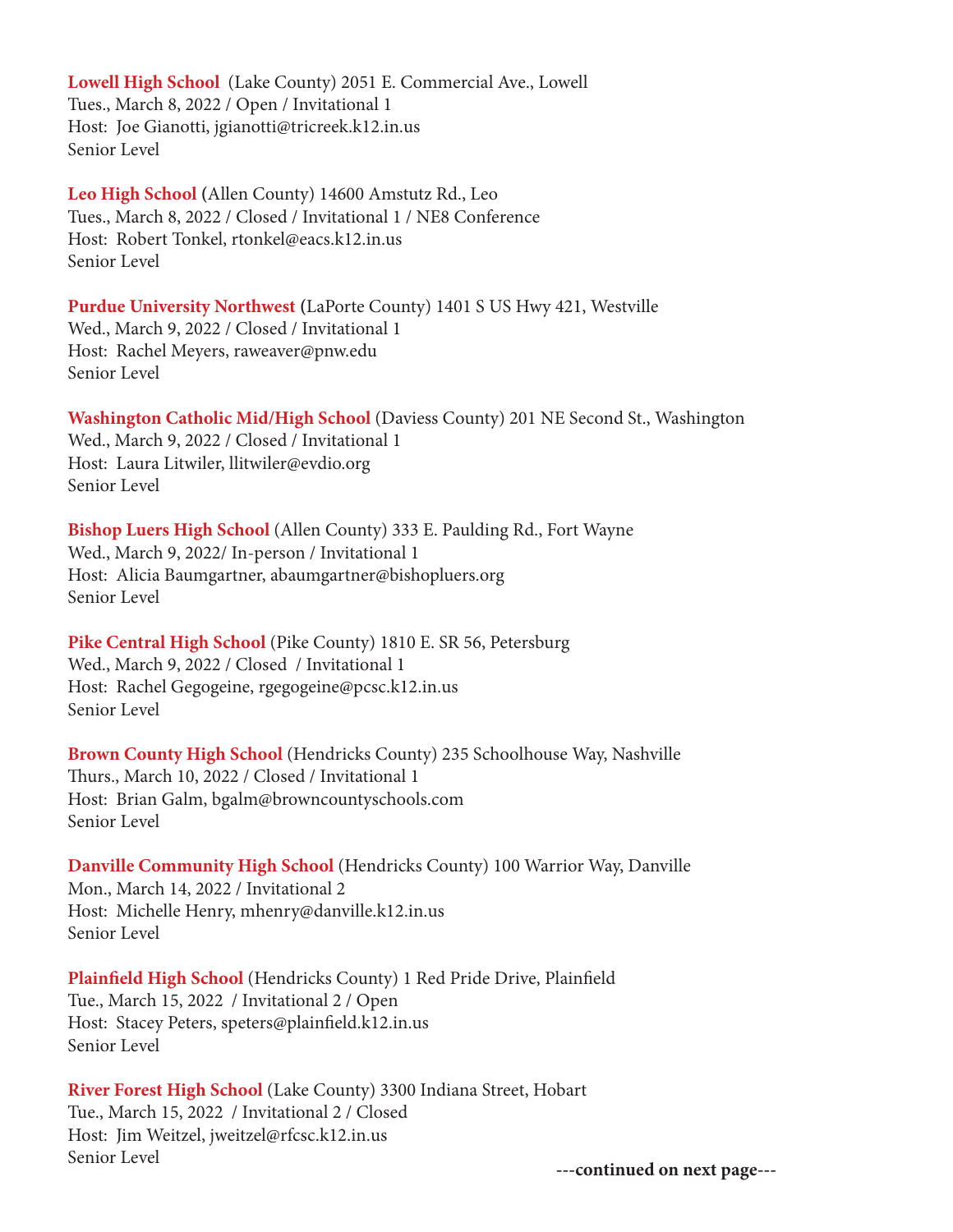**Lowell High School** (Lake County) 2051 E. Commercial Ave., Lowell Tues., March 8, 2022 / Open / Invitational 1 Host: Joe Gianotti, jgianotti@tricreek.k12.in.us Senior Level

**Leo High School (**Allen County) 14600 Amstutz Rd., Leo Tues., March 8, 2022 / Closed / Invitational 1 / NE8 Conference Host: Robert Tonkel, rtonkel@eacs.k12.in.us Senior Level

**Purdue University Northwest (**LaPorte County) 1401 S US Hwy 421, Westville Wed., March 9, 2022 / Closed / Invitational 1 Host: Rachel Meyers, raweaver@pnw.edu Senior Level

**Washington Catholic Mid/High School** (Daviess County) 201 NE Second St., Washington Wed., March 9, 2022 / Closed / Invitational 1 Host: Laura Litwiler, llitwiler@evdio.org Senior Level

**Bishop Luers High School** (Allen County) 333 E. Paulding Rd., Fort Wayne Wed., March 9, 2022/ In-person / Invitational 1 Host: Alicia Baumgartner, abaumgartner@bishopluers.org Senior Level

**Pike Central High School** (Pike County) 1810 E. SR 56, Petersburg Wed., March 9, 2022 / Closed / Invitational 1 Host: Rachel Gegogeine, rgegogeine@pcsc.k12.in.us Senior Level

**Brown County High School** (Hendricks County) 235 Schoolhouse Way, Nashville Thurs., March 10, 2022 / Closed / Invitational 1 Host: Brian Galm, bgalm@browncountyschools.com Senior Level

**Danville Community High School** (Hendricks County) 100 Warrior Way, Danville Mon., March 14, 2022 / Invitational 2 Host: Michelle Henry, mhenry@danville.k12.in.us Senior Level

**Plainfield High School** (Hendricks County) 1 Red Pride Drive, Plainfield Tue., March 15, 2022 / Invitational 2 / Open Host: Stacey Peters, speters@plainfield.k12.in.us Senior Level

**River Forest High School** (Lake County) 3300 Indiana Street, Hobart Tue., March 15, 2022 / Invitational 2 / Closed Host: Jim Weitzel, jweitzel@rfcsc.k12.in.us Senior Level **---continued on next page---**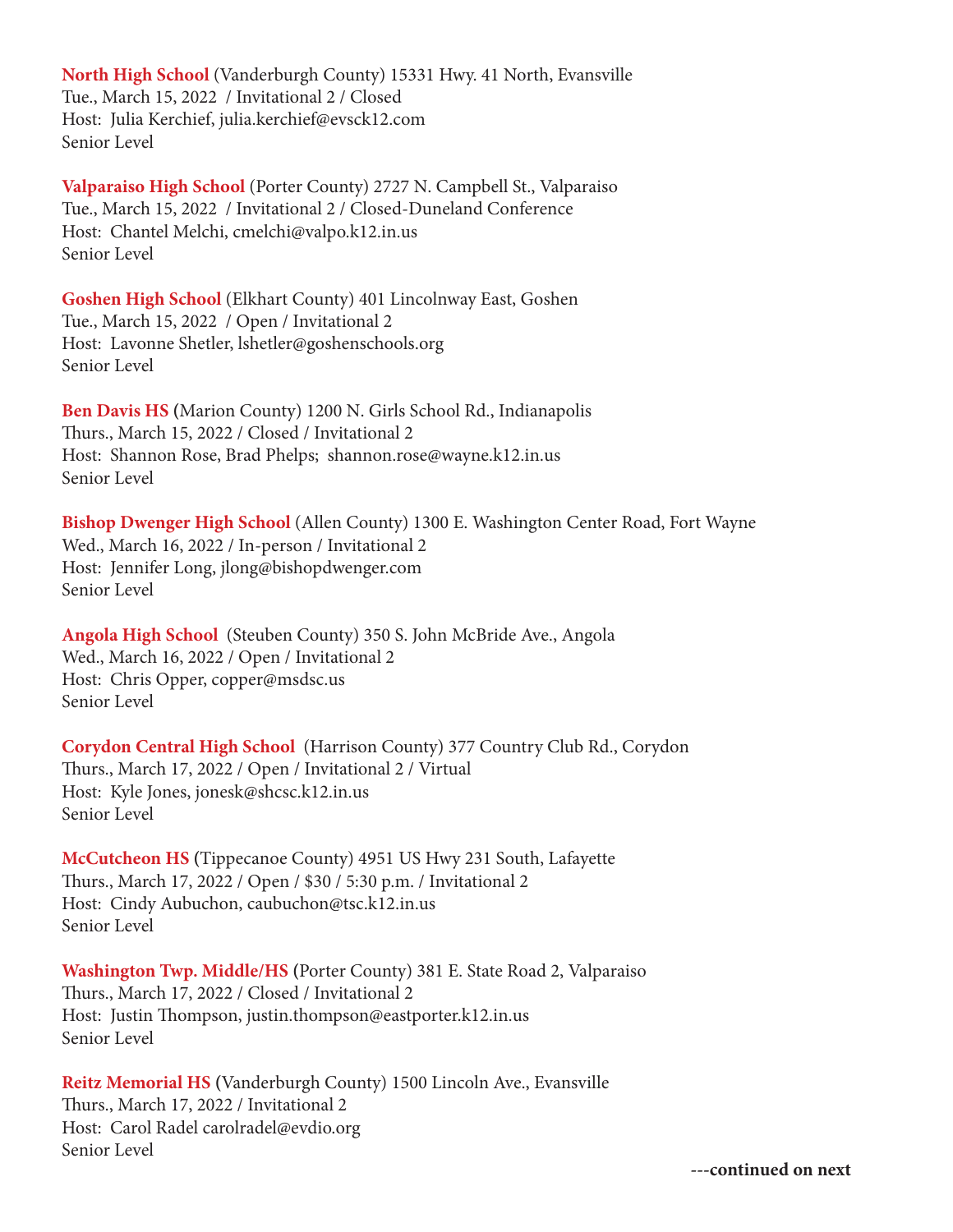**North High School** (Vanderburgh County) 15331 Hwy. 41 North, Evansville Tue., March 15, 2022 / Invitational 2 / Closed Host: Julia Kerchief, julia.kerchief@evsck12.com Senior Level

**Valparaiso High School** (Porter County) 2727 N. Campbell St., Valparaiso Tue., March 15, 2022 / Invitational 2 / Closed-Duneland Conference Host: Chantel Melchi, cmelchi@valpo.k12.in.us Senior Level

**Goshen High School** (Elkhart County) 401 Lincolnway East, Goshen Tue., March 15, 2022 / Open / Invitational 2 Host: Lavonne Shetler, lshetler@goshenschools.org Senior Level

**Ben Davis HS (**Marion County) 1200 N. Girls School Rd., Indianapolis Thurs., March 15, 2022 / Closed / Invitational 2 Host: Shannon Rose, Brad Phelps; shannon.rose@wayne.k12.in.us Senior Level

**Bishop Dwenger High School** (Allen County) 1300 E. Washington Center Road, Fort Wayne Wed., March 16, 2022 / In-person / Invitational 2 Host: Jennifer Long, jlong@bishopdwenger.com Senior Level

**Angola High School** (Steuben County) 350 S. John McBride Ave., Angola Wed., March 16, 2022 / Open / Invitational 2 Host: Chris Opper, copper@msdsc.us Senior Level

**Corydon Central High School** (Harrison County) 377 Country Club Rd., Corydon Thurs., March 17, 2022 / Open / Invitational 2 / Virtual Host: Kyle Jones, jonesk@shcsc.k12.in.us Senior Level

**McCutcheon HS (**Tippecanoe County) 4951 US Hwy 231 South, Lafayette Thurs., March 17, 2022 / Open / \$30 / 5:30 p.m. / Invitational 2 Host: Cindy Aubuchon, caubuchon@tsc.k12.in.us Senior Level

**Washington Twp. Middle/HS (**Porter County) 381 E. State Road 2, Valparaiso Thurs., March 17, 2022 / Closed / Invitational 2 Host: Justin Thompson, justin.thompson@eastporter.k12.in.us Senior Level

**Reitz Memorial HS (**Vanderburgh County) 1500 Lincoln Ave., Evansville Thurs., March 17, 2022 / Invitational 2 Host: Carol Radel carolradel@evdio.org Senior Level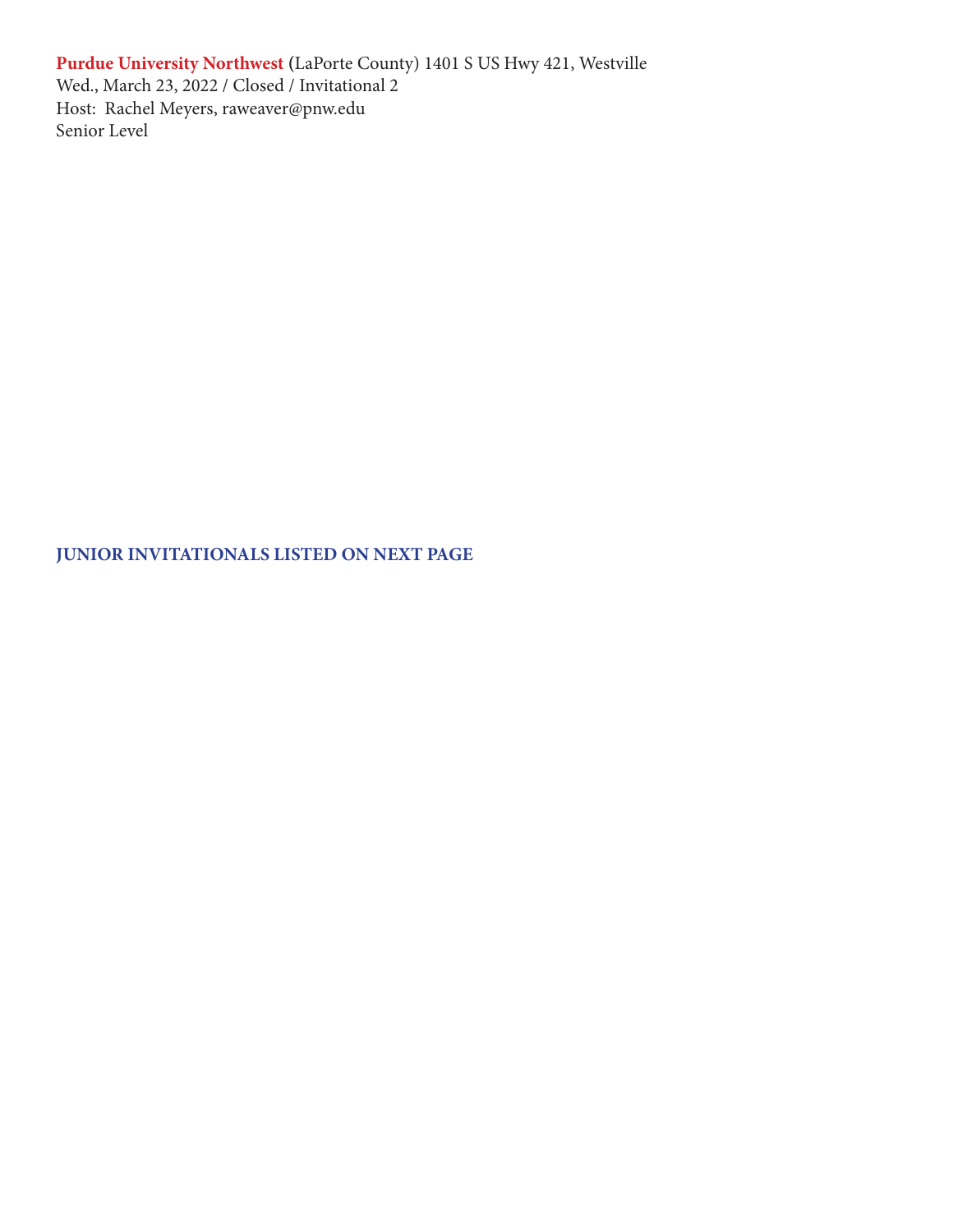**Purdue University Northwest (**LaPorte County) 1401 S US Hwy 421, Westville Wed., March 23, 2022 / Closed / Invitational 2 Host: Rachel Meyers, raweaver@pnw.edu Senior Level

**JUNIOR INVITATIONALS LISTED ON NEXT PAGE**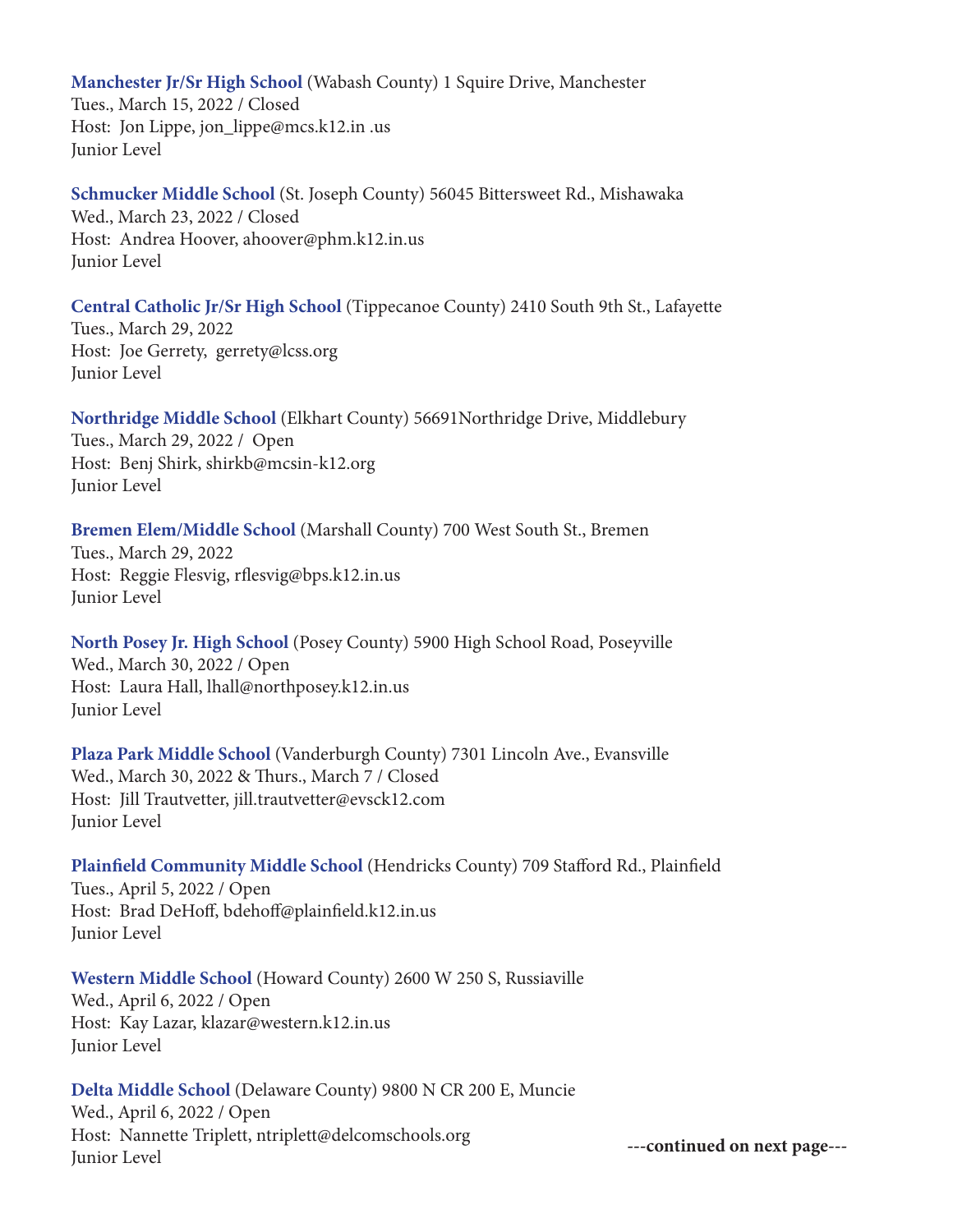**Manchester Jr/Sr High School** (Wabash County) 1 Squire Drive, Manchester Tues., March 15, 2022 / Closed Host: Jon Lippe, jon\_lippe@mcs.k12.in .us Junior Level

**Schmucker Middle School** (St. Joseph County) 56045 Bittersweet Rd., Mishawaka Wed., March 23, 2022 / Closed Host: Andrea Hoover, ahoover@phm.k12.in.us Junior Level

**Central Catholic Jr/Sr High School** (Tippecanoe County) 2410 South 9th St., Lafayette Tues., March 29, 2022 Host: Joe Gerrety, gerrety@lcss.org Junior Level

**Northridge Middle School** (Elkhart County) 56691Northridge Drive, Middlebury Tues., March 29, 2022 / Open Host: Benj Shirk, shirkb@mcsin-k12.org Junior Level

#### **Bremen Elem/Middle School** (Marshall County) 700 West South St., Bremen Tues., March 29, 2022 Host: Reggie Flesvig, rflesvig@bps.k12.in.us Junior Level

**North Posey Jr. High School** (Posey County) 5900 High School Road, Poseyville Wed., March 30, 2022 / Open Host: Laura Hall, lhall@northposey.k12.in.us Junior Level

**Plaza Park Middle School** (Vanderburgh County) 7301 Lincoln Ave., Evansville Wed., March 30, 2022 & Thurs., March 7 / Closed Host: Jill Trautvetter, jill.trautvetter@evsck12.com Junior Level

#### **Plainfield Community Middle School** (Hendricks County) 709 Stafford Rd., Plainfield Tues., April 5, 2022 / Open Host: Brad DeHoff, bdehoff@plainfield.k12.in.us Junior Level

#### **Western Middle School** (Howard County) 2600 W 250 S, Russiaville Wed., April 6, 2022 / Open Host: Kay Lazar, klazar@western.k12.in.us Junior Level

**Delta Middle School** (Delaware County) 9800 N CR 200 E, Muncie Wed., April 6, 2022 / Open Host: Nannette Triplett, ntriplett@delcomschools.org Junior Level **---continued on next page---**